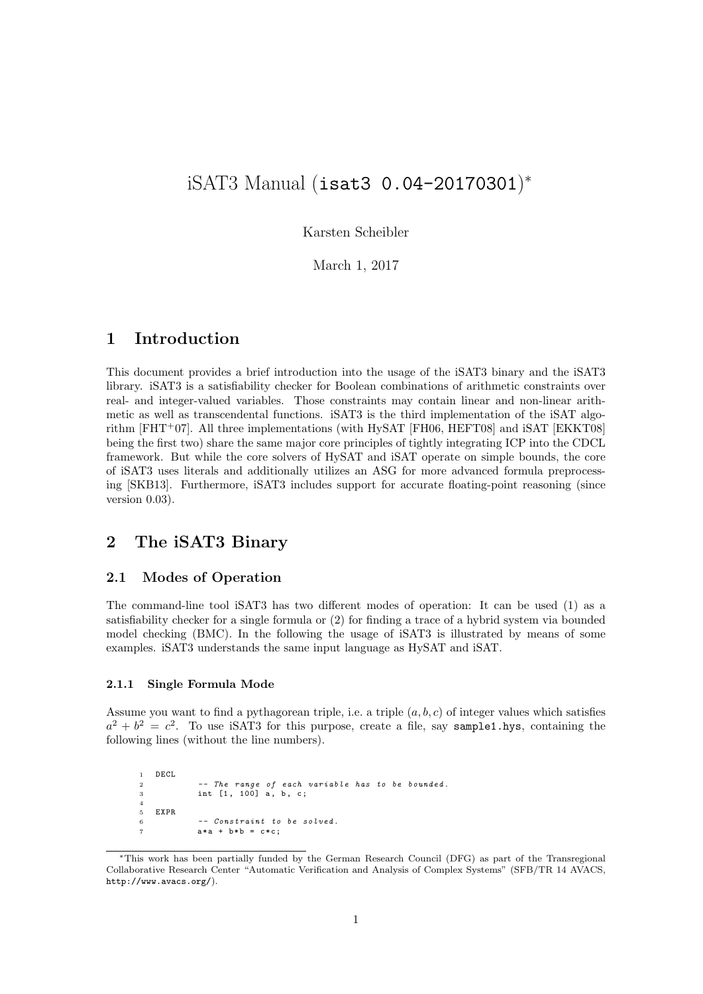# iSAT3 Manual (isat3 0.04-20170301) ∗

Karsten Scheibler

March 1, 2017

# 1 Introduction

This document provides a brief introduction into the usage of the iSAT3 binary and the iSAT3 library. iSAT3 is a satisfiability checker for Boolean combinations of arithmetic constraints over real- and integer-valued variables. Those constraints may contain linear and non-linear arithmetic as well as transcendental functions. iSAT3 is the third implementation of the iSAT algorithm  $[FHT+07]$ . All three implementations (with HySAT  $[FH06, HEFT08]$  and iSAT  $[EKKT08]$ being the first two) share the same major core principles of tightly integrating ICP into the CDCL framework. But while the core solvers of HySAT and iSAT operate on simple bounds, the core of iSAT3 uses literals and additionally utilizes an ASG for more advanced formula preprocessing [SKB13]. Furthermore, iSAT3 includes support for accurate floating-point reasoning (since version 0.03).

# 2 The iSAT3 Binary

# 2.1 Modes of Operation

The command-line tool iSAT3 has two different modes of operation: It can be used (1) as a satisfiability checker for a single formula or (2) for finding a trace of a hybrid system via bounded model checking (BMC). In the following the usage of iSAT3 is illustrated by means of some examples. iSAT3 understands the same input language as HySAT and iSAT.

#### 2.1.1 Single Formula Mode

Assume you want to find a pythagorean triple, i.e. a triple  $(a, b, c)$  of integer values which satisfies  $a^2 + b^2 = c^2$ . To use iSAT3 for this purpose, create a file, say sample1.hys, containing the following lines (without the line numbers).

```
1 DECL
2 -- The range of each variable has to be bounded.<br>3 int [1, 100] a, b, c;
4
5 EXPR
             -- Constraint to be solved.
             a*a + b*b = c*c;
```
<sup>∗</sup>This work has been partially funded by the German Research Council (DFG) as part of the Transregional Collaborative Research Center "Automatic Verification and Analysis of Complex Systems" (SFB/TR 14 AVACS, http://www.avacs.org/).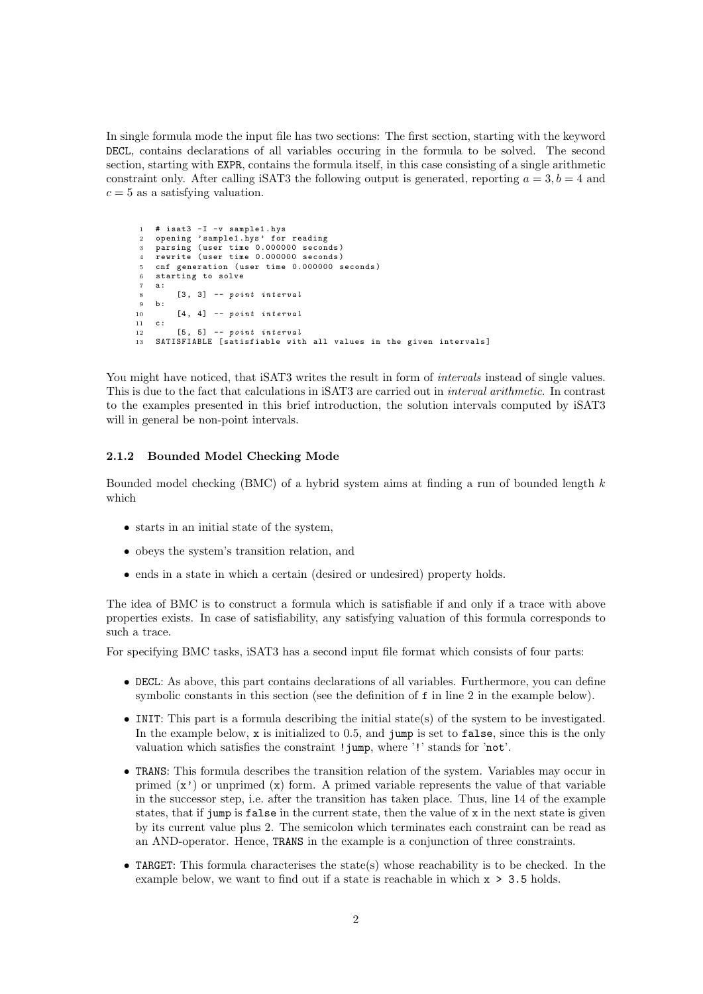In single formula mode the input file has two sections: The first section, starting with the keyword DECL, contains declarations of all variables occuring in the formula to be solved. The second section, starting with EXPR, contains the formula itself, in this case consisting of a single arithmetic constraint only. After calling iSAT3 the following output is generated, reporting  $a = 3, b = 4$  and  $c = 5$  as a satisfying valuation.

```
1 # isat3 -I -v sample1.hys<br>2 opening 'sample1.hys' for
    opening 'sample1.hys' for reading
 3 parsing ( user time 0.000000 seconds )
4 rewrite ( user time 0.000000 seconds )
 5 cnf generation (user time 0.000000 seconds)
 6 starting to solve
    a:
 8 \qquad [3, 3] -- point interval<br>9 b:
9 b:<br>10
          [4, 4] -- point interval
11 c:
12 [5, 5] -- point interval
13 SATISFIABLE [satisfiable with all values in the given intervals]
```
You might have noticed, that iSAT3 writes the result in form of *intervals* instead of single values. This is due to the fact that calculations in iSAT3 are carried out in interval arithmetic. In contrast to the examples presented in this brief introduction, the solution intervals computed by iSAT3 will in general be non-point intervals.

#### 2.1.2 Bounded Model Checking Mode

Bounded model checking (BMC) of a hybrid system aims at finding a run of bounded length  $k$ which

- starts in an initial state of the system,
- obeys the system's transition relation, and
- ends in a state in which a certain (desired or undesired) property holds.

The idea of BMC is to construct a formula which is satisfiable if and only if a trace with above properties exists. In case of satisfiability, any satisfying valuation of this formula corresponds to such a trace.

For specifying BMC tasks, iSAT3 has a second input file format which consists of four parts:

- DECL: As above, this part contains declarations of all variables. Furthermore, you can define symbolic constants in this section (see the definition of f in line 2 in the example below).
- INIT: This part is a formula describing the initial state(s) of the system to be investigated. In the example below, x is initialized to 0.5, and jump is set to false, since this is the only valuation which satisfies the constraint !jump, where '!' stands for 'not'.
- TRANS: This formula describes the transition relation of the system. Variables may occur in primed  $(x')$  or unprimed  $(x)$  form. A primed variable represents the value of that variable in the successor step, i.e. after the transition has taken place. Thus, line 14 of the example states, that if jump is false in the current state, then the value of x in the next state is given by its current value plus 2. The semicolon which terminates each constraint can be read as an AND-operator. Hence, TRANS in the example is a conjunction of three constraints.
- TARGET: This formula characterises the state(s) whose reachability is to be checked. In the example below, we want to find out if a state is reachable in which x > 3.5 holds.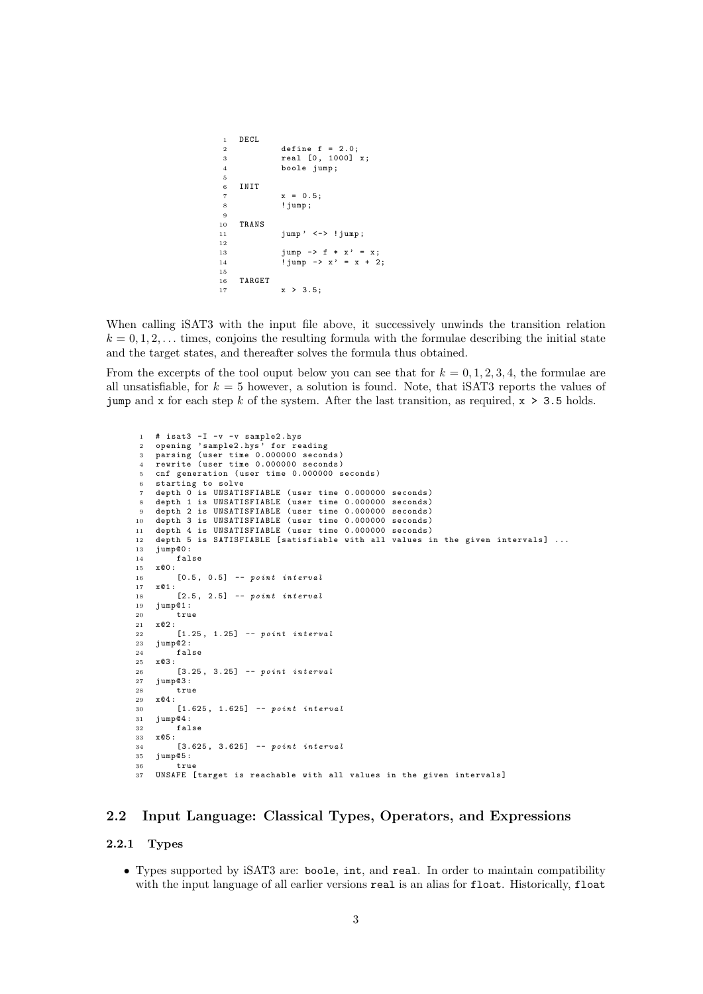```
1 DECL<br>2
                     define f = 2.0;
 3 real [0, 1000] x;
 4 boole jump ;
 5
 6 INIT
 \begin{array}{ccc} 7 & \text{x} = 0.5; \\ 8 & \text{limp} \end{array}! jump;
\begin{array}{c} 9 \\ 10 \end{array}10 TRANS
11 jump' <-> ! jump;
12
13 jump \rightarrow f * x ' = x;
14 \frac{1}{1} \text{jump} \rightarrow x' = x + 2;\begin{array}{c} 1\,5 \\ 1\,6 \end{array}\begin{array}{cc} 16 & \texttt{TARGET} \\ 17 & \end{array}x > 3.5;
```
When calling iSAT3 with the input file above, it successively unwinds the transition relation  $k = 0, 1, 2, \ldots$  times, conjoins the resulting formula with the formulae describing the initial state and the target states, and thereafter solves the formula thus obtained.

From the excerpts of the tool ouput below you can see that for  $k = 0, 1, 2, 3, 4$ , the formulae are all unsatisfiable, for  $k = 5$  however, a solution is found. Note, that iSAT3 reports the values of jump and x for each step k of the system. After the last transition, as required,  $x > 3.5$  holds.

```
1 # isat3 -I -v -v sample2.hys<br>2 opening 'sample2.hys' for re
     opening 'sample2.hys' for reading
 3 parsing ( user time 0.000000 seconds )
 4 rewrite ( user time 0.000000 seconds )
     cnf generation (user time 0.000000 seconds)
     starting to solve
     depth 0 is UNSATISFIABLE (user time 0.000000 seconds)
 8 depth 1 is UNSATISFIABLE (user time 0.000000 seconds)
9 depth 2 is UNSATISFIABLE (user time 0.000000 seconds)<br>10 depth 3 is UNSATISFIABLE (user time 0.000000 seconds)
      depth 3 is UNSATISFIABLE (user time 0.000000 seconds)
11 depth 4 is UNSATISFIABLE (user time 0.000000 seconds)<br>12 depth 5 is SATISFIABLE [satisfiable with all values i
12 depth 5 is SATISFIABLE [satisfiable with all values in the given intervals] ...<br>13 jump@0:
      jump@0:
14 false
15 x@0 :
16 [0.5 , 0.5] -- point interval
17 \t x@1:<br>18
           [2.5, 2.5] -- point interval
19 jump@1 :
20 \frac{1}{21} \frac{1}{20} \frac{1}{20} \frac{1}{20} \frac{1}{20} \frac{1}{20} \frac{1}{20} \frac{1}{20} \frac{1}{20} \frac{1}{20} \frac{1}{20} \frac{1}{20} \frac{1}{20} \frac{1}{20} \frac{1}{20} \frac{1}{20} \frac{1}{20} \frac{1}{20} \frac{1}{20} \frac{1}{20}x@2:22 [1.25 , 1.25] -- point interval
23 jump@2:<br>24 fal
24 false<br>25 x@3:
25 \times @3:<br>26
26 ....<br>26 [3.25, 3.25] -- point interval<br>27 iump@3:
      jump@3:
28 true<br>29 x@4:
29 x@4:<br>30
30 [1.625, 1.625] -- point interval<br>31 jump@4:
31 jump@4 :
           false
33 x@5 :
34 [3.625 , 3.625] -- point interval
35 jump@5 :
36 true<br>37 UNSAFE
      UNSAFE [target is reachable with all values in the given intervals]
```
# 2.2 Input Language: Classical Types, Operators, and Expressions

## 2.2.1 Types

• Types supported by iSAT3 are: boole, int, and real. In order to maintain compatibility with the input language of all earlier versions real is an alias for float. Historically, float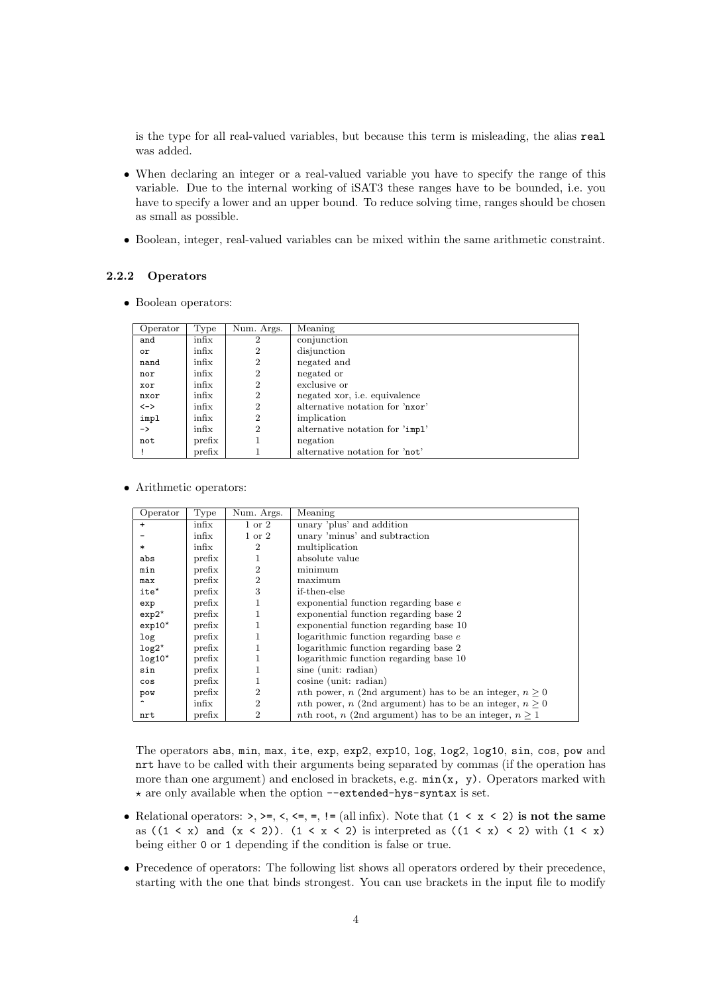is the type for all real-valued variables, but because this term is misleading, the alias real was added.

- When declaring an integer or a real-valued variable you have to specify the range of this variable. Due to the internal working of iSAT3 these ranges have to be bounded, i.e. you have to specify a lower and an upper bound. To reduce solving time, ranges should be chosen as small as possible.
- Boolean, integer, real-valued variables can be mixed within the same arithmetic constraint.

# 2.2.2 Operators

• Boolean operators:

| Operator      | Type   | Num. Args.     | Meaning                              |
|---------------|--------|----------------|--------------------------------------|
| and           | infix  | $\overline{2}$ | conjunction                          |
| or            | infix  | $\overline{2}$ | disjunction                          |
| nand          | infix  | 2              | negated and                          |
| nor           | infix  | 2              | negated or                           |
| xor           | infix  | $\overline{2}$ | exclusive or                         |
| nxor          | infix  | $\overline{2}$ | negated xor, <i>i.e.</i> equivalence |
| <->           | infix  | $\overline{2}$ | alternative notation for 'nxor'      |
| impl          | infix  | $\overline{2}$ | implication                          |
| $\rightarrow$ | infix  | $\overline{2}$ | alternative notation for 'impl'      |
| not           | prefix |                | negation                             |
|               | prefix |                | alternative notation for 'not'       |

# • Arithmetic operators:

| Operator         | Type   | Num. Args.        | Meaning                                                                 |
|------------------|--------|-------------------|-------------------------------------------------------------------------|
| $\ddot{}$        | infix  | $1 \text{ or } 2$ | unary 'plus' and addition                                               |
|                  | infix  | $1 \text{ or } 2$ | unary 'minus' and subtraction                                           |
| $\ast$           | infix  | $\overline{2}$    | multiplication                                                          |
| abs              | prefix | 1                 | absolute value                                                          |
| min              | prefix | $\overline{2}$    | minimum                                                                 |
| max              | prefix | $\overline{2}$    | maximum                                                                 |
| $ite^{\star}$    | prefix | 3                 | if-then-else                                                            |
| exp              | prefix | 1                 | exponential function regarding base e                                   |
| $exp2^{\star}$   | prefix | 1                 | exponential function regarding base 2                                   |
| $exp10^*$        | prefix | 1                 | exponential function regarding base 10                                  |
| log <sub>c</sub> | prefix | 1                 | logarithmic function regarding base $e$                                 |
| $log2*$          | prefix | 1                 | logarithmic function regarding base 2                                   |
| $log10^{\star}$  | prefix | 1                 | logarithmic function regarding base 10                                  |
| sin              | prefix | $\mathbf{1}$      | sine (unit: radian)                                                     |
| cos              | prefix | $\mathbf{1}$      | $cosine$ (unit: radian)                                                 |
| pow              | prefix | $\overline{2}$    | <i>nth</i> power, <i>n</i> (2nd argument) has to be an integer, $n > 0$ |
|                  | infix  | $\overline{2}$    | <i>nth</i> power, <i>n</i> (2nd argument) has to be an integer, $n > 0$ |
| nrt              | prefix | $\overline{2}$    | <i>nth</i> root, <i>n</i> (2nd argument) has to be an integer, $n > 1$  |

The operators abs, min, max, ite, exp, exp2, exp10, log, log2, log10, sin, cos, pow and nrt have to be called with their arguments being separated by commas (if the operation has more than one argument) and enclosed in brackets, e.g.  $min(x, y)$ . Operators marked with  $\star$  are only available when the option --extended-hys-syntax is set.

- Relational operators:  $>, >=, <, <=, =, != (all infix)$ . Note that  $(1 < x < 2)$  is not the same as ((1 < x) and (x < 2)). (1 < x < 2) is interpreted as ((1 < x) < 2) with (1 < x) being either 0 or 1 depending if the condition is false or true.
- Precedence of operators: The following list shows all operators ordered by their precedence, starting with the one that binds strongest. You can use brackets in the input file to modify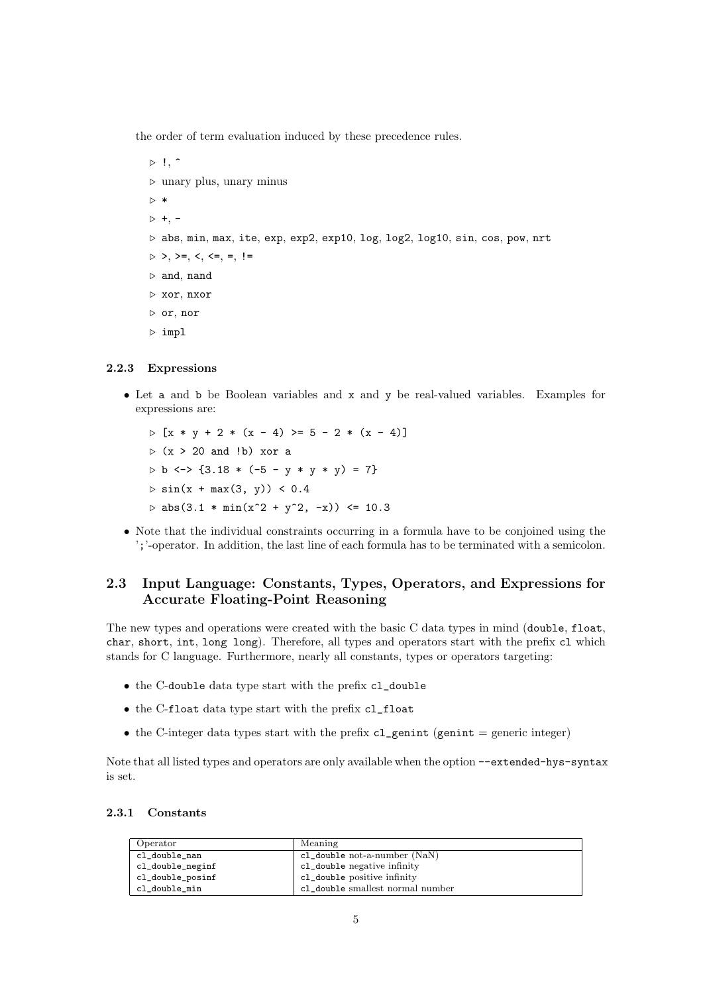the order of term evaluation induced by these precedence rules.

```
\triangleright !, \hat{ }\triangleright unary plus, unary minus
\triangleright *
> +, -\triangleright abs, min, max, ite, exp, exp2, exp10, log, log2, log10, sin, cos, pow, nrt
\triangleright >, >=, <, <=, =, !=
\triangleright and, nand
\triangleright xor, nxor
\triangleright or, nor
\triangleright impl
```
### 2.2.3 Expressions

- Let a and b be Boolean variables and x and y be real-valued variables. Examples for expressions are:
	- $D [x * y + 2 * (x 4) > = 5 2 * (x 4)]$  $\triangleright$  (x > 20 and !b) xor a  $D b \le 3.18 * (-5 - y * y * y) = 7$  $> \sin(x + \max(3, y)) < 0.4$  $\rhd$  abs(3.1 \* min(x<sup>2</sup> + y<sup>2</sup>, -x)) <= 10.3
- Note that the individual constraints occurring in a formula have to be conjoined using the ';'-operator. In addition, the last line of each formula has to be terminated with a semicolon.

# 2.3 Input Language: Constants, Types, Operators, and Expressions for Accurate Floating-Point Reasoning

The new types and operations were created with the basic C data types in mind (double, float, char, short, int, long long). Therefore, all types and operators start with the prefix cl which stands for C language. Furthermore, nearly all constants, types or operators targeting:

- the C-double data type start with the prefix cl\_double
- the C-float data type start with the prefix cl\_float
- the C-integer data types start with the prefix  $cl\_genint$  (genint = generic integer)

Note that all listed types and operators are only available when the option --extended-hys-syntax is set.

### 2.3.1 Constants

| Operator         | Meaning                           |
|------------------|-----------------------------------|
| cl_double_nan    | $cl\_double$ not-a-number $(NaN)$ |
| cl_double_neginf | cl_double negative infinity       |
| cl_double_posinf | cl_double positive infinity       |
| cl_double_min    | cl_double smallest normal number  |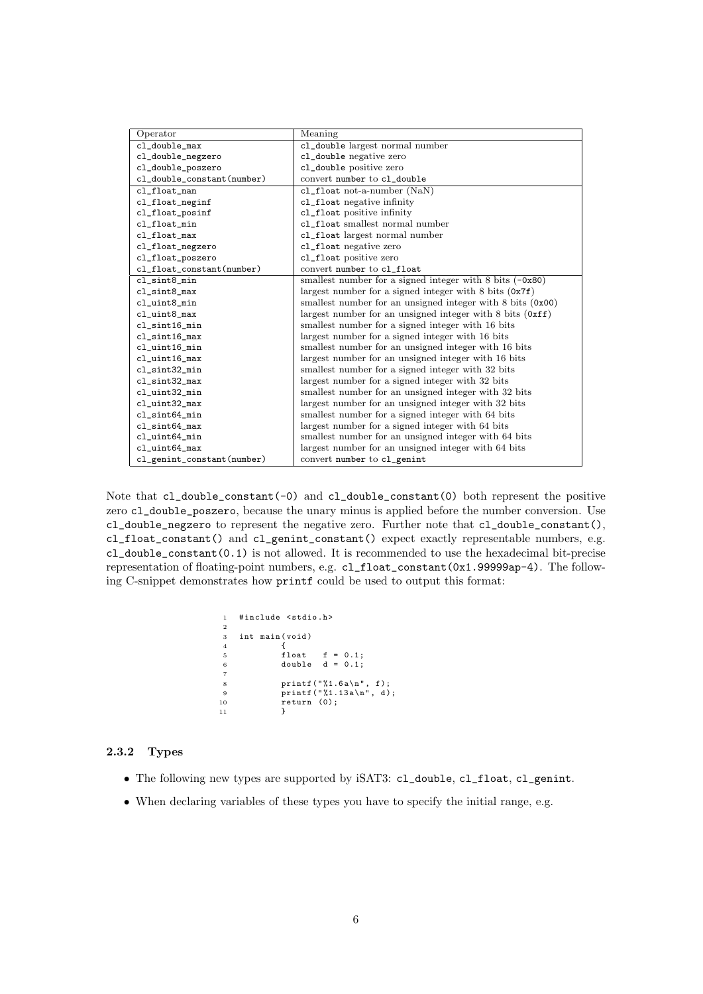| Operator                   | Meaning                                                                       |  |  |
|----------------------------|-------------------------------------------------------------------------------|--|--|
| cl_double_max              | cl_double largest normal number                                               |  |  |
| cl_double_negzero          | cl_double negative zero                                                       |  |  |
| cl_double_poszero          | cl_double positive zero                                                       |  |  |
| cl_double_constant(number) | convert number to cl_double                                                   |  |  |
| cl_float_nan               | $cl_f$ loat not-a-number (NaN)                                                |  |  |
| cl_float_neginf            | cl_float negative infinity                                                    |  |  |
| cl_float_posinf            | cl_float positive infinity                                                    |  |  |
| cl_float_min               | cl_float smallest normal number                                               |  |  |
| cl_float_max               | cl_float largest normal number                                                |  |  |
| cl_float_negzero           | cl_float negative zero                                                        |  |  |
| cl_float_poszero           | cl_float positive zero                                                        |  |  |
| cl_float_constant(number)  | convert number to cl_float                                                    |  |  |
| cl_sint8_min               | smallest number for a signed integer with $8 \text{ bits } (-0x80)$           |  |  |
| cl_sint8_max               | largest number for a signed integer with $8 \text{ bits } (0x7f)$             |  |  |
| cl_uint8_min               | smallest number for an unsigned integer with $8 \text{ bits } (0x00)$         |  |  |
| cl_uint8_max               | largest number for an unsigned integer with $8 \text{ bits } (0 \text{ xff})$ |  |  |
| cl_sint16_min              | smallest number for a signed integer with 16 bits                             |  |  |
| $cl\_sint16$ _max          | largest number for a signed integer with 16 bits                              |  |  |
| cl_uint16_min              | smallest number for an unsigned integer with 16 bits                          |  |  |
| cl_uint16_max              | largest number for an unsigned integer with 16 bits                           |  |  |
| cl_sint32_min              | smallest number for a signed integer with 32 bits                             |  |  |
| $cl\_sint32\_max$          | largest number for a signed integer with 32 bits                              |  |  |
| cl_uint32_min              | smallest number for an unsigned integer with 32 bits                          |  |  |
| cl_uint32_max              | largest number for an unsigned integer with 32 bits                           |  |  |
| cl_sint64_min              | smallest number for a signed integer with 64 bits                             |  |  |
| $cl\_sint64$ _max          | largest number for a signed integer with 64 bits                              |  |  |
| cl_uint64_min              | smallest number for an unsigned integer with 64 bits                          |  |  |
| cl_uint64_max              | largest number for an unsigned integer with 64 bits                           |  |  |
| cl_genint_constant(number) | convert number to cl_genint                                                   |  |  |

Note that cl\_double\_constant(-0) and cl\_double\_constant(0) both represent the positive zero cl\_double\_poszero, because the unary minus is applied before the number conversion. Use cl\_double\_negzero to represent the negative zero. Further note that cl\_double\_constant(), cl\_float\_constant() and cl\_genint\_constant() expect exactly representable numbers, e.g. cl\_double\_constant(0.1) is not allowed. It is recommended to use the hexadecimal bit-precise representation of floating-point numbers, e.g. cl\_float\_constant(0x1.99999ap-4). The following C-snippet demonstrates how printf could be used to output this format:

| 1              |  | #include <stdio.h></stdio.h>      |  |  |  |
|----------------|--|-----------------------------------|--|--|--|
| $\overline{2}$ |  |                                   |  |  |  |
| 3              |  | int main(void)                    |  |  |  |
| $\overline{4}$ |  |                                   |  |  |  |
| $\overline{5}$ |  | float $f = 0.1$ ;                 |  |  |  |
| 6              |  | double $d = 0.1$ :                |  |  |  |
| $\overline{7}$ |  |                                   |  |  |  |
| 8              |  | printf $(\sqrt[n]{1.6a}\n^n, f);$ |  |  |  |
| 9              |  | $printf("%1.13a\n'n", d);$        |  |  |  |
| 10             |  | return (0);                       |  |  |  |
| 11             |  |                                   |  |  |  |
|                |  |                                   |  |  |  |

## 2.3.2 Types

- The following new types are supported by iSAT3: cl\_double, cl\_float, cl\_genint.
- When declaring variables of these types you have to specify the initial range, e.g.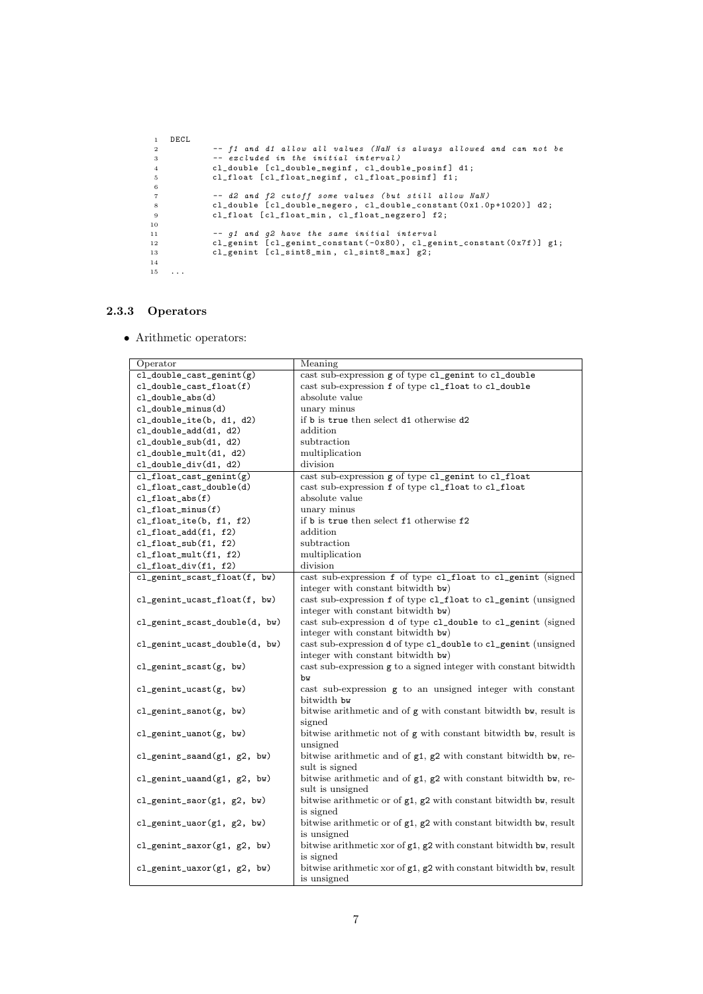```
\begin{array}{cc} 1 & \texttt{DECL} \\ 2 & & \end{array}-- f1 and d1 allow all values (NaN is always allowed and can not be<br>3 -- excluded in the initial interval)<br>cl_double [cl_double_neginf, cl_double_posinf] d1;<br>cl_float [cl_float_neginf, cl_float_posinf] f1;
 6
  7 -- d2 and f2 cutoff some values (but still allow NaN)<br>8 cl_double [cl_double_negero, cl_double_constant(0x1.0p+1020)] d2;<br>9 cl_float [cl_float_min, cl_float_negzero] f2;
10
 11 -- g1 and g2 have the same initial interval<br>
12 cl_genint [cl_genint_constant(-0x80), cl_genint_constant(0x7f)] g1;<br>
13 cl_genint [cl_sint8_min, cl_sint8_max] g2;
14
15 \cdot \ldots
```
#### 2.3.3 Operators

• Arithmetic operators:

| Operator                        | Meaning                                                                 |  |  |
|---------------------------------|-------------------------------------------------------------------------|--|--|
| cl_double_cast_genint(g)        | cast sub-expression g of type cl_genint to cl_double                    |  |  |
| cl_double_cast_float(f)         | cast sub-expression f of type cl_float to cl_double                     |  |  |
| cl_double_abs(d)                | absolute value                                                          |  |  |
| cl_double_minus(d)              | unary minus                                                             |  |  |
| cl_double_ite(b, d1, d2)        | if b is true then select d1 otherwise d2                                |  |  |
| cl_double_add(d1, d2)           | addition                                                                |  |  |
| cl_double_sub(d1, d2)           | subtraction                                                             |  |  |
| $cl_double_mult(d1, d2)$        | multiplication                                                          |  |  |
| cl_double_div(d1, d2)           | division                                                                |  |  |
| $cl_f$ loat_cast_genint $(g)$   | cast sub-expression g of type cl_genint to cl_float                     |  |  |
| cl_float_cast_double(d)         | cast sub-expression f of type cl_float to cl_float                      |  |  |
| $cl_f$ loat_abs $(f)$           | absolute value                                                          |  |  |
| $cl_f$ loat_minus $(f)$         | unary minus                                                             |  |  |
| $cl_f$ loat_ite(b, f1, f2)      | if b is true then select f1 otherwise f2                                |  |  |
| $cl_f$ loat_add $(f1, f2)$      | addition                                                                |  |  |
| $cl_f$ loat_sub $(f1, f2)$      | subtraction                                                             |  |  |
| $cl_f$ loat_mult $(f1, f2)$     | multiplication                                                          |  |  |
| cl_float_div(f1, f2)            | division                                                                |  |  |
| cl_genint_scast_float(f, bw)    | cast sub-expression f of type cl_float to cl_genint (signed             |  |  |
|                                 | integer with constant bitwidth bw)                                      |  |  |
| cl_genint_ucast_float(f, bw)    | cast sub-expression f of type cl_float to cl_genint (unsigned           |  |  |
|                                 | integer with constant bitwidth bw)                                      |  |  |
| cl_genint_scast_double(d, bw)   | cast sub-expression d of type cl_double to cl_genint (signed            |  |  |
|                                 | integer with constant bitwidth bw)                                      |  |  |
| cl_genint_ucast_double(d, bw)   | cast sub-expression d of type cl_double to cl_genint (unsigned          |  |  |
|                                 | integer with constant bitwidth bw)                                      |  |  |
| cl_genint_scast(g, bw)          | cast sub-expression g to a signed integer with constant bitwidth        |  |  |
|                                 | bw                                                                      |  |  |
| cl_genint_ucast(g, bw)          | cast sub-expression g to an unsigned integer with constant              |  |  |
|                                 | bitwidth bw                                                             |  |  |
| cl_genint_sanot(g, bw)          | bitwise arithmetic and of g with constant bitwidth bw, result is        |  |  |
|                                 | signed                                                                  |  |  |
| $cl\_genint\_uanot(g, bw)$      | bitwise arithmetic not of g with constant bitwidth bw, result is        |  |  |
|                                 | unsigned                                                                |  |  |
| $cl\_genint\_saand(g1, g2, bw)$ | bitwise arithmetic and of $g1$ , $g2$ with constant bitwidth bw, re-    |  |  |
|                                 | sult is signed                                                          |  |  |
| cl_genint_uaand(g1, g2, bw)     | bitwise arithmetic and of $g1$ , $g2$ with constant bitwidth bw, re-    |  |  |
|                                 | sult is unsigned                                                        |  |  |
| $cl\_genint\_saor(g1, g2, bw)$  | bitwise arithmetic or of g1, g2 with constant bitwidth bw, result       |  |  |
|                                 | is signed                                                               |  |  |
| cl_genint_uaor(g1, g2, bw)      | bitwise arithmetic or of $g1$ , $g2$ with constant bitwidth bw, result  |  |  |
|                                 | is unsigned                                                             |  |  |
| cl_genint_saxor(g1, g2, bw)     | bitwise arithmetic xor of $g1$ , $g2$ with constant bitwidth bw, result |  |  |
|                                 | is signed                                                               |  |  |
| cl_genint_uaxor(g1, g2, bw)     | bitwise arithmetic xor of $g1$ , $g2$ with constant bitwidth bw, result |  |  |
|                                 | is unsigned                                                             |  |  |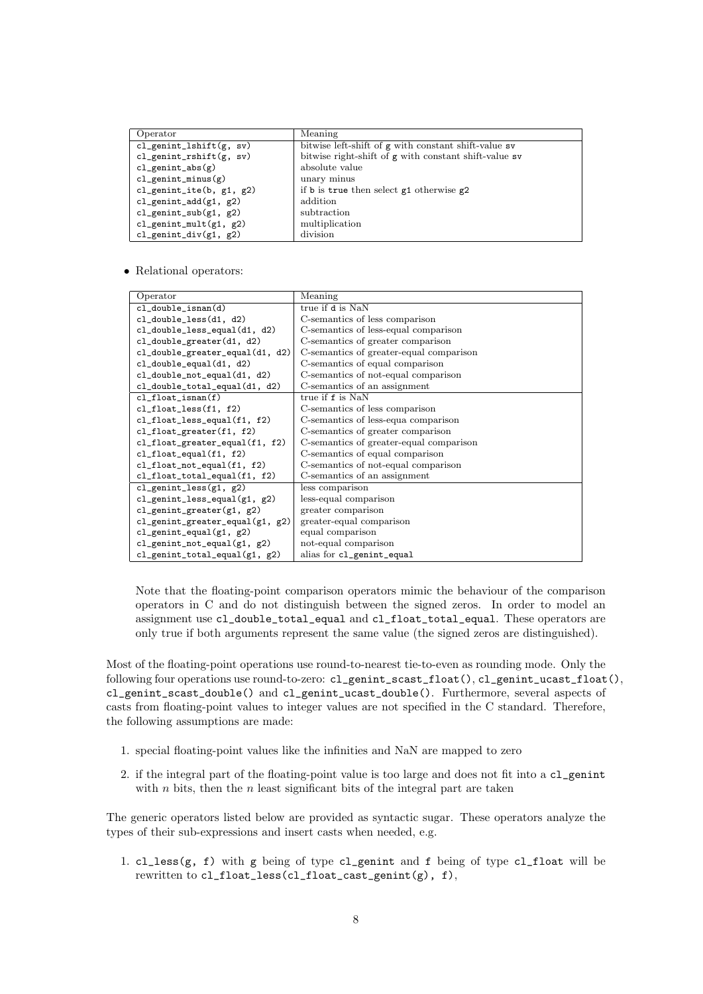| Operator                                   | Meaning                                               |
|--------------------------------------------|-------------------------------------------------------|
| $cl$ <sub>genint</sub> lshift $(g, sv)$    | bitwise left-shift of g with constant shift-value sv  |
| $cl$ <sub>genint_rshift</sub> ( $g$ , sv)  | bitwise right-shift of g with constant shift-value sv |
| $cl\_genint\_abs(g)$                       | absolute value                                        |
| $cl$ <sub>genint</sub> _minus(g)           | unary minus                                           |
| $cl$ <sub>genint_ite(b, g1, g2)</sub>      | if b is true then select $g1$ otherwise $g2$          |
| $cl$ <sub>genint_add</sub> ( $g1$ , $g2$ ) | addition                                              |
| $cl$ <sub>genint_sub</sub> $(g1, g2)$      | subtraction                                           |
| $cl$ genint_mult(g1, g2)                   | multiplication                                        |
| $cl$ <sub>genint_div(g1, g2)</sub>         | division                                              |

• Relational operators:

| Operator                                         | Meaning                                 |
|--------------------------------------------------|-----------------------------------------|
| $cl_double_lisan(d)$                             | true if d is NaN                        |
| $cl_double_less(d1, d2)$                         | C-semantics of less comparison          |
| cl_double_less_equal(d1, d2)                     | C-semantics of less-equal comparison    |
| cl_double_greater(d1, d2)                        | C-semantics of greater comparison       |
| cl_double_greater_equal(d1, d2)                  | C-semantics of greater-equal comparison |
| $cl_double$ -equal $(d1, d2)$                    | C-semantics of equal comparison         |
| $cl\_double\_not\_equal(d1, d2)$                 | C-semantics of not-equal comparison     |
| $cl_double\_total_equal(d1, d2)$                 | C-semantics of an assignment            |
| $cl_f$ loat_isnan $(f)$                          | true if f is NaN                        |
| $cl_f$ loat_less $(f1, f2)$                      | C-semantics of less comparison          |
| $cl_f$ loat_less_equal $(f1, f2)$                | C-semantics of less-equa comparison     |
| $cl_f$ loat_greater $(f1, f2)$                   | C-semantics of greater comparison       |
| $cl_f$ loat_greater_equal $(f1, f2)$             | C-semantics of greater-equal comparison |
| $cl_f$ loat_equal $(f1, f2)$                     | C-semantics of equal comparison         |
| $cl_f$ loat_not_equal $(f1, f2)$                 | C-semantics of not-equal comparison     |
| $cl_f$ loat_total_equal $(f1, f2)$               | C-semantics of an assignment            |
| $cl$ <sub>genint</sub> $less$ (g1, g2)           | less comparison                         |
| $cl$ <sub>genint</sub> less_equal( $g1$ , $g2$ ) | less-equal comparison                   |
| $cl$ <sub>genint</sub> greater( $g1$ , $g2$ )    | greater comparison                      |
| $cl$ <sub>genint</sub> greater_equal(g1, g2)     | greater-equal comparison                |
| $cl$ <sub>genint_equal</sub> ( $g1, g2$ )        | equal comparison                        |
| $cl$ <sub>genint_not_equal(g1, g2)</sub>         | not-equal comparison                    |
| $cl$ <sub>genint_total_equal(g1, g2)</sub>       | alias for cl_genint_equal               |

Note that the floating-point comparison operators mimic the behaviour of the comparison operators in C and do not distinguish between the signed zeros. In order to model an assignment use cl\_double\_total\_equal and cl\_float\_total\_equal. These operators are only true if both arguments represent the same value (the signed zeros are distinguished).

Most of the floating-point operations use round-to-nearest tie-to-even as rounding mode. Only the following four operations use round-to-zero: cl\_genint\_scast\_float(), cl\_genint\_ucast\_float(), cl\_genint\_scast\_double() and cl\_genint\_ucast\_double(). Furthermore, several aspects of casts from floating-point values to integer values are not specified in the C standard. Therefore, the following assumptions are made:

- 1. special floating-point values like the infinities and NaN are mapped to zero
- 2. if the integral part of the floating-point value is too large and does not fit into a cl\_genint with  $n$  bits, then the  $n$  least significant bits of the integral part are taken

The generic operators listed below are provided as syntactic sugar. These operators analyze the types of their sub-expressions and insert casts when needed, e.g.

1. cl\_less( $g$ , f) with  $g$  being of type cl\_genint and f being of type cl\_float will be rewritten to cl\_float\_less(cl\_float\_cast\_genint(g), f),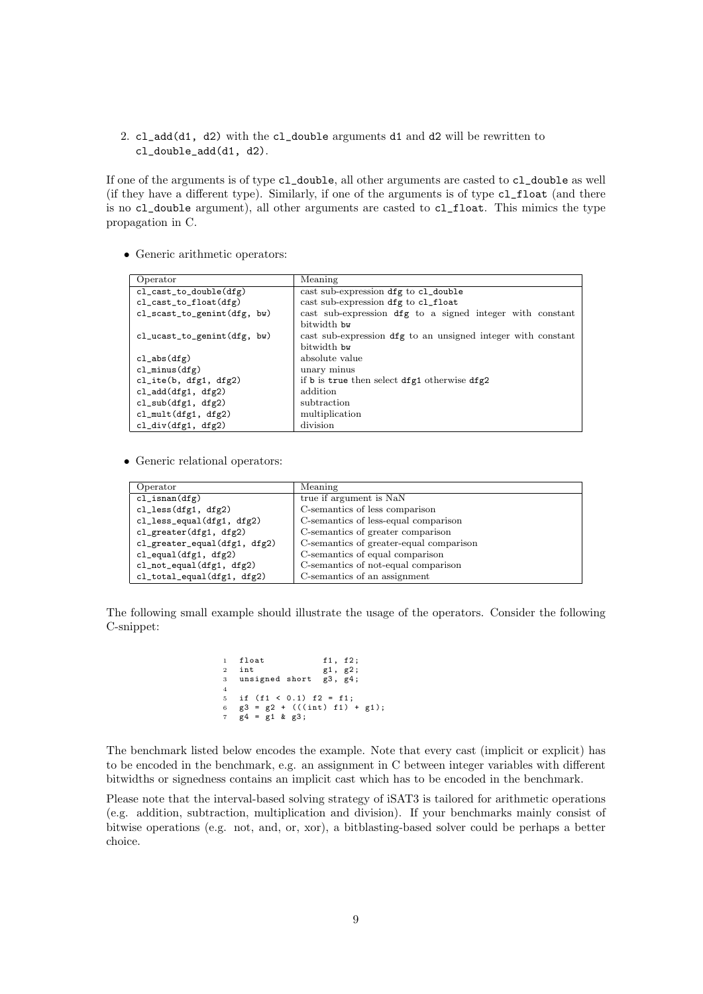2. cl\_add(d1, d2) with the cl\_double arguments d1 and d2 will be rewritten to cl\_double\_add(d1, d2).

If one of the arguments is of type cl\_double, all other arguments are casted to cl\_double as well (if they have a different type). Similarly, if one of the arguments is of type cl\_float (and there is no cl\_double argument), all other arguments are casted to cl\_float. This mimics the type propagation in C.

• Generic arithmetic operators:

| Operator                       | Meaning                                                      |  |  |
|--------------------------------|--------------------------------------------------------------|--|--|
| $cl\_cast_to\_double(dfg)$     | cast sub-expression dfg to cl_double                         |  |  |
| $cl\_cast_to_f$ loat $(dfg)$   | cast sub-expression dfg to cl_float                          |  |  |
| $cl\_scast_to_genint(dfg, bw)$ | cast sub-expression dfg to a signed integer with constant    |  |  |
|                                | bitwidth by                                                  |  |  |
| $cl_ucast_to_genint(dfg, bw)$  | cast sub-expression dfg to an unsigned integer with constant |  |  |
|                                | bitwidth by                                                  |  |  |
| $cl_abs(dfg)$                  | absolute value                                               |  |  |
| $cl$ <sub>minus</sub> $(dfg)$  | unary minus                                                  |  |  |
| $cl\_ite(b, dfg1, dfg2)$       | if b is true then select dfg1 otherwise dfg2                 |  |  |
| $cl\_add(dfg1, dfg2)$          | addition                                                     |  |  |
| $cl\_sub(dfg1, dfg2)$          | subtraction                                                  |  |  |
| $cl_mult(df1, dfg2)$           | multiplication                                               |  |  |
| $cl\_div(dfg1, dfg2)$          | division                                                     |  |  |

• Generic relational operators:

| Operator                             | Meaning                                 |  |  |
|--------------------------------------|-----------------------------------------|--|--|
| $cl\_isnan(dfg)$                     | true if argument is NaN                 |  |  |
| $cl\_less(dfg1, dfg2)$               | C-semantics of less comparison          |  |  |
| $cl\_less\_equal(dfg1, dfg2)$        | C-semantics of less-equal comparison    |  |  |
| $cl\_greater(dfg1, dfg2)$            | C-semantics of greater comparison       |  |  |
| $cl\_greater\_equal(dfg1, dfg2)$     | C-semantics of greater-equal comparison |  |  |
| $cl$ <sub>equal</sub> $(dfg1, dfg2)$ | C-semantics of equal comparison         |  |  |
| $cl\_not\_equal(dfg1, dfg2)$         | C-semantics of not-equal comparison     |  |  |
| $cl\_total\_equal(dfg1, dfg2)$       | C-semantics of an assignment            |  |  |

The following small example should illustrate the usage of the operators. Consider the following C-snippet:

|                | 1 float                                   | f1, f2; |
|----------------|-------------------------------------------|---------|
| $\overline{2}$ | int                                       | g1, g2; |
|                | 3 unsigned short g3, g4;                  |         |
| $\overline{4}$ |                                           |         |
| $5 -$          | if $(f1 < 0.1)$ $f2 = f1$ ;               |         |
| 6              | $g3 = g2 + (((int) f1) + g1);$            |         |
|                | $7 \times 4 = \times 1 \times \times 3$ ; |         |

The benchmark listed below encodes the example. Note that every cast (implicit or explicit) has to be encoded in the benchmark, e.g. an assignment in C between integer variables with different bitwidths or signedness contains an implicit cast which has to be encoded in the benchmark.

Please note that the interval-based solving strategy of iSAT3 is tailored for arithmetic operations (e.g. addition, subtraction, multiplication and division). If your benchmarks mainly consist of bitwise operations (e.g. not, and, or, xor), a bitblasting-based solver could be perhaps a better choice.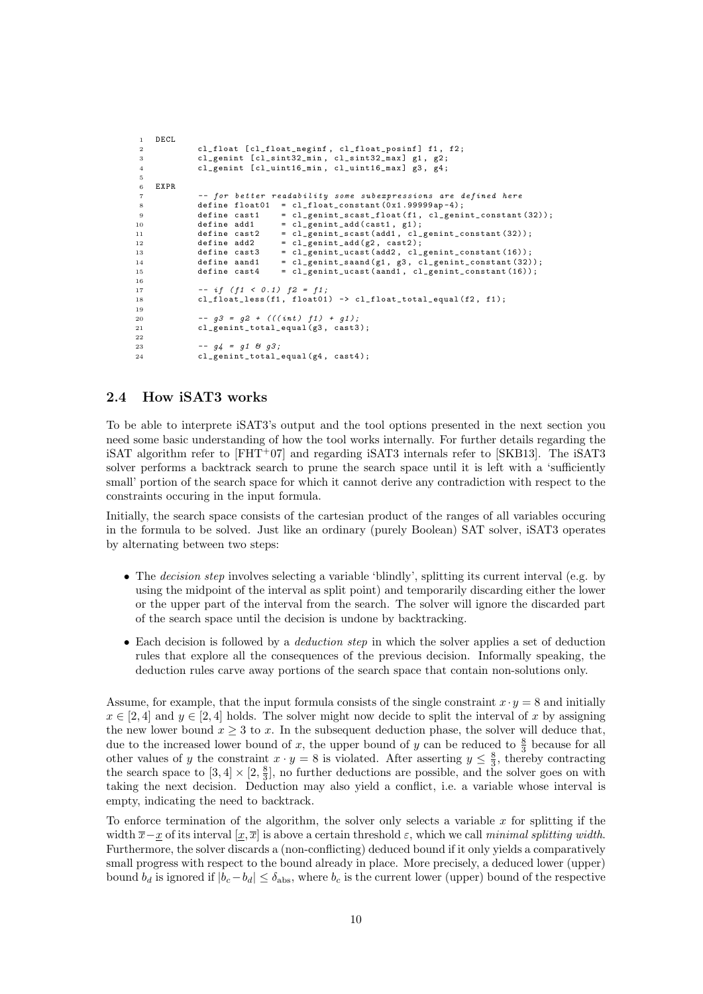```
1 DECL<br>2
              cl_float [cl_float_neginf, cl_float_posinf] f1, f2;
3 cl_genint [ cl_sint 32_min, cl_sint 32_max ] g1, g2;
 4 cl_genint [ cl_uint16_min, cl_uint16_max ] g3, g4;
5
6 EXPR
7 -- for better readability some subexpressions are defined here
8 define float01 = cl_float_constant (0x1.99999ap-4);<br>9 define cast1 = cl_genint_scast_float(f1, cl_geni
9 define cast1 = cl_genint_scast_float (f1, cl_genint_constant (32));<br>10 define add1 = cl genint add(cast1, g1);
                                 = cl\_genint\_add(cast1, g1);11 define cast2 = cl_genint_scast (add1, cl_genint_constant (32));
12 define add2 = cl_genint_add (g2 , cast2 );
13 define cast3 = cl_genint_ucast ( add2 , cl_genint_constant (16));
14 define aand1 = cl_genint_saand (g1 , g3 , cl_genint_constant (32));
15 define cast4 = cl_genint_ucast ( aand1 , cl_genint_constant (16));
16
17 -- if (f1 \le 0.1) f2 = f1;
18 cl_float_less (f1, float01) -> cl_float_total_equal (f2, f1);
19
20 -93 = 92 + (((int) f1) + g1);<br>21 -21 = 92 + (d1 + 91)cl_genint_total_equal (g3, cast3);
22
23 -- g4 = g1 & g3;<br>24 cl genint total
              cl\_genint\_total\_equal ( g4 , \; cast4 );
```
## 2.4 How iSAT3 works

To be able to interprete iSAT3's output and the tool options presented in the next section you need some basic understanding of how the tool works internally. For further details regarding the iSAT algorithm refer to  $[FHT^{+}07]$  and regarding iSAT3 internals refer to  $[SKB13]$ . The iSAT3 solver performs a backtrack search to prune the search space until it is left with a 'sufficiently small' portion of the search space for which it cannot derive any contradiction with respect to the constraints occuring in the input formula.

Initially, the search space consists of the cartesian product of the ranges of all variables occuring in the formula to be solved. Just like an ordinary (purely Boolean) SAT solver, iSAT3 operates by alternating between two steps:

- The *decision step* involves selecting a variable 'blindly', splitting its current interval (e.g. by using the midpoint of the interval as split point) and temporarily discarding either the lower or the upper part of the interval from the search. The solver will ignore the discarded part of the search space until the decision is undone by backtracking.
- Each decision is followed by a *deduction step* in which the solver applies a set of deduction rules that explore all the consequences of the previous decision. Informally speaking, the deduction rules carve away portions of the search space that contain non-solutions only.

Assume, for example, that the input formula consists of the single constraint  $x \cdot y = 8$  and initially  $x \in [2, 4]$  and  $y \in [2, 4]$  holds. The solver might now decide to split the interval of x by assigning the new lower bound  $x \geq 3$  to x. In the subsequent deduction phase, the solver will deduce that, due to the increased lower bound of x, the upper bound of y can be reduced to  $\frac{8}{3}$  because for all other values of y the constraint  $x \cdot y = 8$  is violated. After asserting  $y \leq \frac{8}{3}$ , thereby contracting the search space to  $[3,4] \times [2,\frac{8}{3}]$ , no further deductions are possible, and the solver goes on with taking the next decision. Deduction may also yield a conflict, i.e. a variable whose interval is empty, indicating the need to backtrack.

To enforce termination of the algorithm, the solver only selects a variable  $x$  for splitting if the width  $\bar{x}-x$  of its interval  $[x,\bar{x}]$  is above a certain threshold  $\varepsilon$ , which we call minimal splitting width. Furthermore, the solver discards a (non-conflicting) deduced bound if it only yields a comparatively small progress with respect to the bound already in place. More precisely, a deduced lower (upper) bound  $b_d$  is ignored if  $|b_c-b_d| \leq \delta_{\text{abs}}$ , where  $b_c$  is the current lower (upper) bound of the respective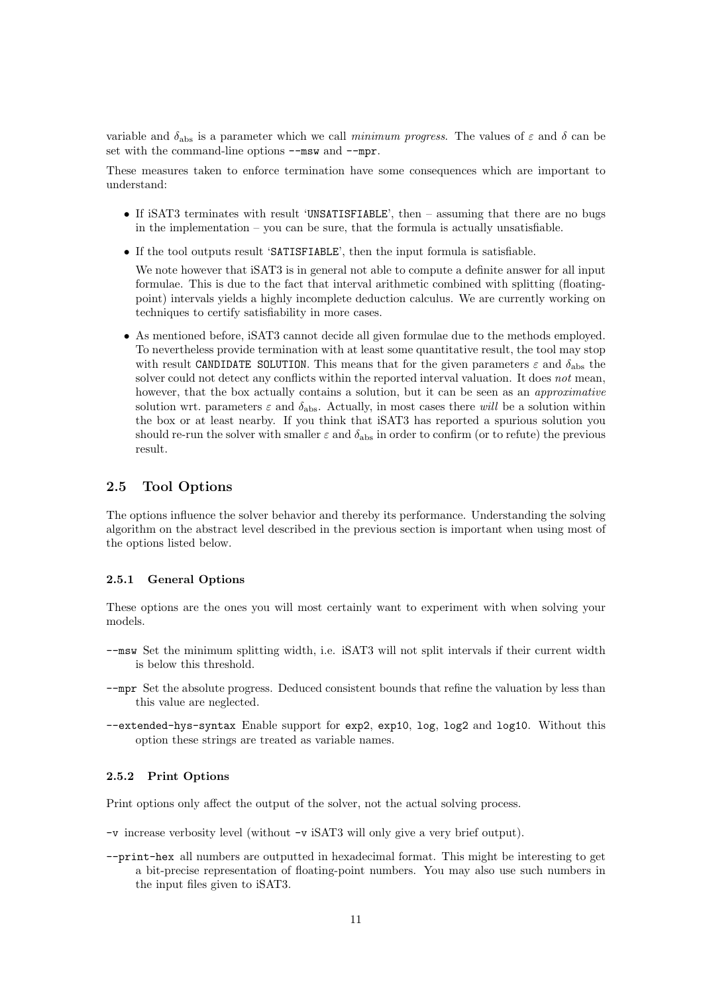variable and  $\delta_{\text{abs}}$  is a parameter which we call minimum progress. The values of  $\varepsilon$  and  $\delta$  can be set with the command-line options  $-\text{msw}$  and  $-\text{mpr}$ .

These measures taken to enforce termination have some consequences which are important to understand:

- If iSAT3 terminates with result 'UNSATISFIABLE', then assuming that there are no bugs in the implementation  $-$  you can be sure, that the formula is actually unsatisfiable.
- If the tool outputs result 'SATISFIABLE', then the input formula is satisfiable.

We note however that iSAT3 is in general not able to compute a definite answer for all input formulae. This is due to the fact that interval arithmetic combined with splitting (floatingpoint) intervals yields a highly incomplete deduction calculus. We are currently working on techniques to certify satisfiability in more cases.

• As mentioned before, iSAT3 cannot decide all given formulae due to the methods employed. To nevertheless provide termination with at least some quantitative result, the tool may stop with result CANDIDATE SOLUTION. This means that for the given parameters  $\varepsilon$  and  $\delta_{\text{abs}}$  the solver could not detect any conflicts within the reported interval valuation. It does not mean, however, that the box actually contains a solution, but it can be seen as an *approximative* solution wrt. parameters  $\varepsilon$  and  $\delta_{\text{abs}}$ . Actually, in most cases there will be a solution within the box or at least nearby. If you think that iSAT3 has reported a spurious solution you should re-run the solver with smaller  $\varepsilon$  and  $\delta_{\text{abs}}$  in order to confirm (or to refute) the previous result.

# 2.5 Tool Options

The options influence the solver behavior and thereby its performance. Understanding the solving algorithm on the abstract level described in the previous section is important when using most of the options listed below.

#### 2.5.1 General Options

These options are the ones you will most certainly want to experiment with when solving your models.

- --msw Set the minimum splitting width, i.e. iSAT3 will not split intervals if their current width is below this threshold.
- --mpr Set the absolute progress. Deduced consistent bounds that refine the valuation by less than this value are neglected.
- --extended-hys-syntax Enable support for exp2, exp10, log, log2 and log10. Without this option these strings are treated as variable names.

#### 2.5.2 Print Options

Print options only affect the output of the solver, not the actual solving process.

- -v increase verbosity level (without -v iSAT3 will only give a very brief output).
- --print-hex all numbers are outputted in hexadecimal format. This might be interesting to get a bit-precise representation of floating-point numbers. You may also use such numbers in the input files given to iSAT3.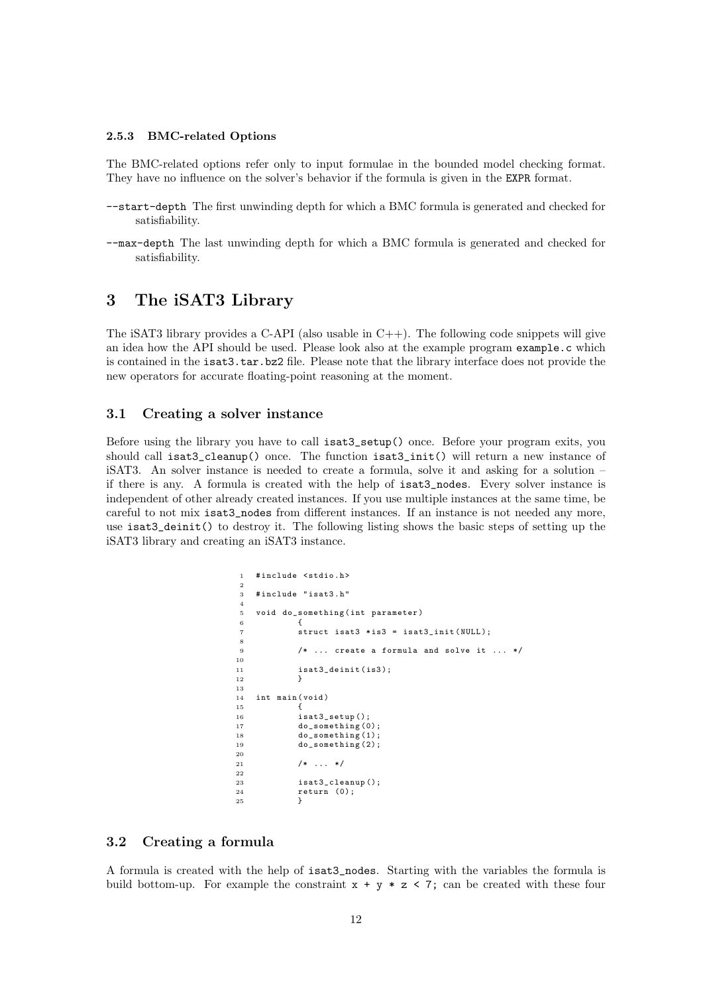#### 2.5.3 BMC-related Options

The BMC-related options refer only to input formulae in the bounded model checking format. They have no influence on the solver's behavior if the formula is given in the EXPR format.

- --start-depth The first unwinding depth for which a BMC formula is generated and checked for satisfiability.
- --max-depth The last unwinding depth for which a BMC formula is generated and checked for satisfiability.

# 3 The iSAT3 Library

The iSAT3 library provides a C-API (also usable in  $C_{++}$ ). The following code snippets will give an idea how the API should be used. Please look also at the example program example.c which is contained in the isat3.tar.bz2 file. Please note that the library interface does not provide the new operators for accurate floating-point reasoning at the moment.

# 3.1 Creating a solver instance

Before using the library you have to call isat3\_setup() once. Before your program exits, you should call isat3\_cleanup() once. The function isat3\_init() will return a new instance of iSAT3. An solver instance is needed to create a formula, solve it and asking for a solution – if there is any. A formula is created with the help of isat3\_nodes. Every solver instance is independent of other already created instances. If you use multiple instances at the same time, be careful to not mix isat3\_nodes from different instances. If an instance is not needed any more, use isat3 deinit() to destroy it. The following listing shows the basic steps of setting up the iSAT3 library and creating an iSAT3 instance.

```
1 # include < stdio .h >
 \overline{2}3 # include " isat3 .h"
 4
      void do_something (int parameter)
 6 \qquad \qquad \qquad \qquad \qquad \qquad \qquad \qquad \qquad \qquad \qquad \qquad \qquad \qquad \qquad \qquad \qquad \qquad \qquad \qquad \qquad \qquad \qquad \qquad \qquad \qquad \qquad \qquad \qquad \qquad \qquad \qquad \qquad \qquad \qquad \qquad \qquadstruct isat3 *is3 = isat3_init (NULL);
 8
9 /* ... create a formula and solve it ... */
\begin{array}{c} 10 \\ 11 \end{array}isat3_deinit (is3);
12 }
13
14 int main ( void )
15 {
16 isat3_setup();
17 do_something (0);
18 do_something (1);<br>19 do something (2):
                    do_something (2);
20
21 /* \ldots */22
23 isat3_cleanup();<br>24 return (0):
                    return (0);25 }
```
# 3.2 Creating a formula

A formula is created with the help of isat3\_nodes. Starting with the variables the formula is build bottom-up. For example the constraint  $x + y * z < 7$ ; can be created with these four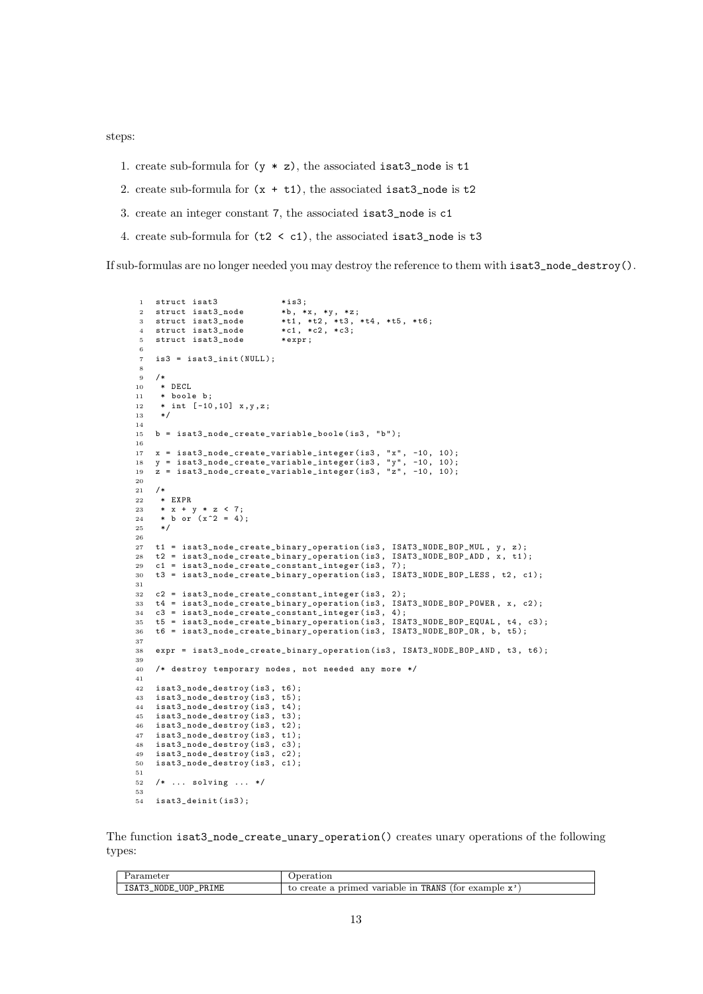steps:

- 1. create sub-formula for  $(y * z)$ , the associated isat3\_node is t1
- 2. create sub-formula for  $(x + t1)$ , the associated isat3\_node is t2
- 3. create an integer constant 7, the associated isat3\_node is c1
- 4. create sub-formula for (t2 < c1), the associated isat3\_node is t3

If sub-formulas are no longer needed you may destroy the reference to them with isat3\_node\_destroy().

```
1 struct isat3 *is3;<br>2 struct isat3_node *b, *x, *y, *z;
    struct isat3_node<br>struct isat3_node
 3 struct isat3_node *t1, *t2, *t3, *t4, *t5, *t6;<br>4 struct isat3_node *t1, *t2, *c3;
    \begin{array}{ccc} \texttt{struct} & \texttt{isat3\_node} & *c1 \,,\; *c3 \,, \\\texttt{struct} & \texttt{isat3\_node} & *expr \,; \end{array}5 struct isat3_node
 6
 7 is3 = isat3_init (NULL);
 8
 9 /*
10 \times \text{DECL}<br>11 \times \text{bool}11 * boole b;<br>12 * int [-10]* int [-10, 10] x, y, z;
13 \times l14
15 b = isat3_node_create_variable_boole ( is3 , "b" );
16
17 x = isat3_node_create_variable_integer ( is3 , "x" , -10 , 10);
18 y = isat3_node_create_variable_integer ( is3 , "y" , -10 , 10);
19 z = isat3_node_create_variable_integer ( is3 , "z" , -10 , 10);
20
21 /*
22 * EXPR<br>23 * \overline{x} + \overline{y}23 * x + y * z < 7;
24 * b or (x^2 = 4);25 */
26
27 t1 = isat3_node_create_binary_operation (is3, ISAT3_NODE_BOP_MUL, y, z);<br>28 t2 = isat3 node create binary operation (is3, ISAT3 NODE BOP ADD, x, t1)
     t2 = isat3_node_create_binary_operation (is3, ISAT3_NODE_BOP_ADD, x, t1);
29 c1 = isat3_node_create_constant_integer(is3, 7);<br>30 t3 = isat3_node_create_binary_operation(is3, ISA
     t3 = isat3_node_create_binary_operation (is3, ISAT3_NODE_BOP_LESS, t2, c1);
31
32 c2 = isat3_node_create_constant_integer ( is3 , 2);
33 t4 = isat3_node_create_binary_operation (is3, ISAT3_NODE_BOP_POWER, x, c2);<br>34 c3 = isat3_node_create_constant_integer (is3, 4);
     c3 = isat3-node\_create\_constant\_integer(is3, 4);35 t5 = isat3_node_create_binary_operation ( is3 , ISAT3_NODE_BOP_EQUAL , t4 , c3 );
36 t6 = isat3_node_create_binary_operation ( is3 , ISAT3_NODE_BOP_OR , b , t5 );
37
38 expr = isat3_node_create_binary_operation ( is3 , ISAT3_NODE_BOP_AND , t3 , t6 );
39
40 /* destroy temporary nodes , not needed any more */
41
42 isat3_node_destroy ( is3 , t6 );
43 isat3_node_destroy ( is3 , t5 );
44 isat3_node_destroy ( is3 , t4 );
45 isat3_node_destroy(is3, t3);
46 isat3_node_destroy(is3, t2);<br>47 isat3 node destroy(is3, t1);
47 isat3_node_destroy(is3, t1);<br>48 isat3_node_destroy(is3, c3);
48 isat3_node_destroy(is3, c3);<br>49 isat3_node_destroy(is3, c2);
     isat3_node_destroy(is3, c2);
50 isat3_node_destroy(is3, c1);
51
52 /* ... solving ... */
53
54 isat3_deinit(is3);
```
The function isat3\_node\_create\_unary\_operation() creates unary operations of the following types:

| 'arameter                | peration                                                              |
|--------------------------|-----------------------------------------------------------------------|
| ISAT3_NODE_UOP_<br>PRIME | o create a primed variable in TRANS<br>(for example<br>$- - -$<br>to. |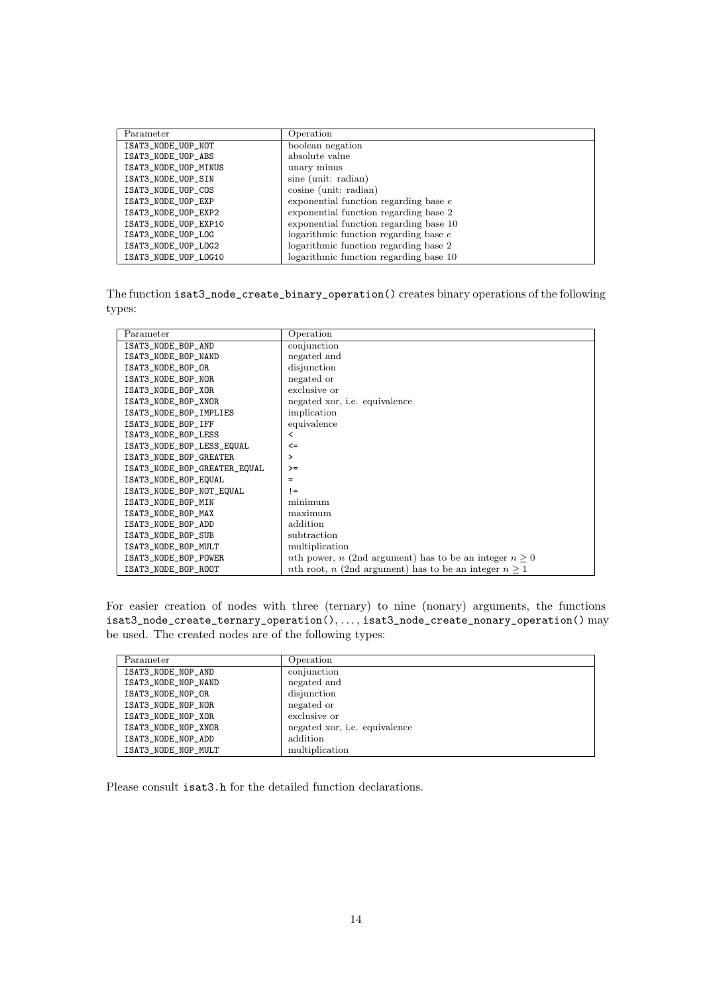| Parameter            | Operation                               |
|----------------------|-----------------------------------------|
| ISAT3_NODE_UOP_NOT   | boolean negation                        |
| ISAT3_NODE_UOP_ABS   | absolute value                          |
| ISAT3_NODE_UOP_MINUS | unary minus                             |
| ISAT3_NODE_UOP_SIN   | sine (unit: radian)                     |
| ISAT3_NODE_UOP_COS   | cosine (unit: radian)                   |
| ISAT3_NODE_UOP_EXP   | exponential function regarding base $e$ |
| ISAT3_NODE_UOP_EXP2  | exponential function regarding base 2   |
| ISAT3_NODE_UOP_EXP10 | exponential function regarding base 10  |
| ISAT3_NODE_UOP_LOG   | logarithmic function regarding base $e$ |
| ISAT3_NODE_UOP_LOG2  | logarithmic function regarding base 2   |
| ISAT3_NODE_UOP_LOG10 | logarithmic function regarding base 10  |

The function isat3\_node\_create\_binary\_operation() creates binary operations of the following types:

| Parameter                    | Operation                                                              |
|------------------------------|------------------------------------------------------------------------|
| ISAT3_NODE_BOP_AND           | conjunction                                                            |
| ISAT3_NODE_BOP_NAND          | negated and                                                            |
| ISAT3_NODE_BOP_OR            | disjunction                                                            |
| ISAT3_NODE_BOP_NOR           | negated or                                                             |
| ISAT3_NODE_BOP_XOR           | exclusive or                                                           |
| ISAT3_NODE_BOP_XNOR          | negated xor, <i>i.e.</i> equivalence                                   |
| ISAT3_NODE_BOP_IMPLIES       | implication                                                            |
| ISAT3_NODE_BOP_IFF           | equivalence                                                            |
| ISAT3_NODE_BOP_LESS          | <                                                                      |
| ISAT3_NODE_BOP_LESS_EQUAL    | $\leq$                                                                 |
| ISAT3_NODE_BOP_GREATER       | ⋗                                                                      |
| ISAT3_NODE_BOP_GREATER_EQUAL | $>=$                                                                   |
| ISAT3_NODE_BOP_EQUAL         | =                                                                      |
| ISAT3_NODE_BOP_NOT_EQUAL     | $!=$                                                                   |
| ISAT3_NODE_BOP_MIN           | minimum                                                                |
| ISAT3_NODE_BOP_MAX           | maximum                                                                |
| ISAT3_NODE_BOP_ADD           | addition                                                               |
| ISAT3_NODE_BOP_SUB           | subtraction                                                            |
| ISAT3_NODE_BOP_MULT          | multiplication                                                         |
| ISAT3_NODE_BOP_POWER         | <i>nth</i> power, <i>n</i> (2nd argument) has to be an integer $n > 0$ |
| ISAT3_NODE_BOP_ROOT          | <i>nth</i> root, <i>n</i> (2nd argument) has to be an integer $n > 1$  |

For easier creation of nodes with three (ternary) to nine (nonary) arguments, the functions  $\mathtt{isat3\_node\_create\_ternary\_operation(), \ldots, isat3\_node\_create\_nonary\_operation() \text{ may}}$ be used. The created nodes are of the following types:

| Parameter           | Operation                            |
|---------------------|--------------------------------------|
| ISAT3_NODE_NOP_AND  | conjunction                          |
| ISAT3_NODE_NOP_NAND | negated and                          |
| ISAT3_NODE_NOP_OR   | disjunction                          |
| ISAT3_NODE_NOP_NOR  | negated or                           |
| ISAT3_NODE_NOP_XOR  | exclusive or                         |
| ISAT3_NODE_NOP_XNOR | negated xor, <i>i.e.</i> equivalence |
| ISAT3_NODE_NOP_ADD  | addition                             |
| ISAT3_NODE_NOP_MULT | multiplication                       |

Please consult isat3.h for the detailed function declarations.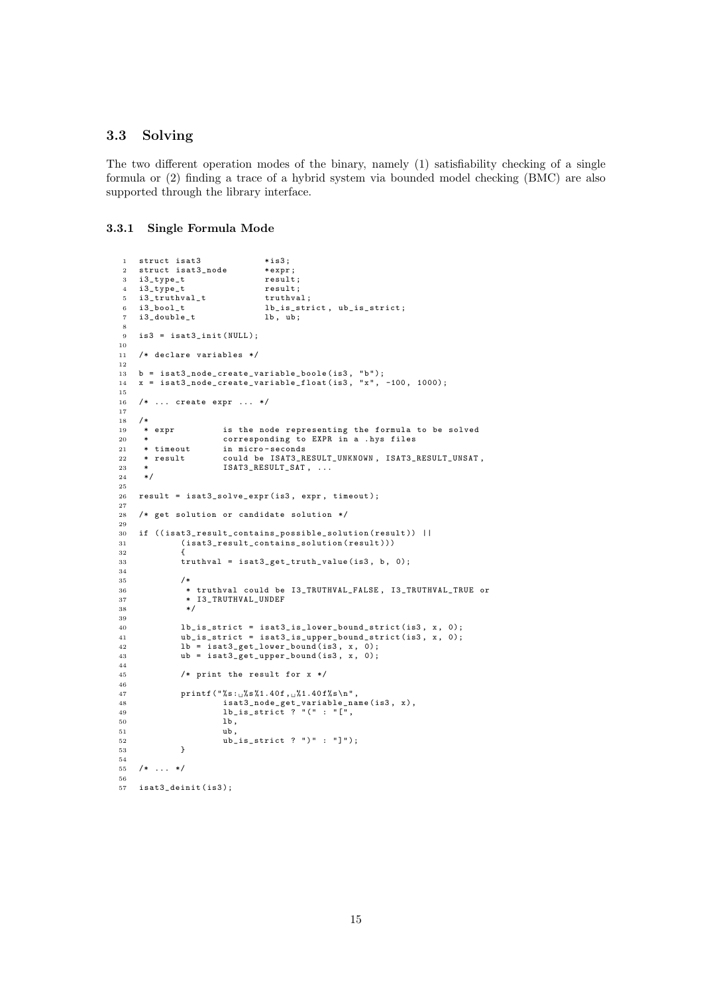# 3.3 Solving

The two different operation modes of the binary, namely (1) satisfiability checking of a single formula or (2) finding a trace of a hybrid system via bounded model checking (BMC) are also supported through the library interface.

## 3.3.1 Single Formula Mode

```
1 struct isat3 * is3;
 2 struct isat3_node * * expr;
 3 i3_type_t result;<br>
4 i3_type_t result;
 4 i3_type_t result;<br>5 i3_truthval_t truthval;
 5 i3_truthval_t<br>6 i3_bool_t
                                    1b_is_striot, ub_is_striot;<br>1b, ub;7 \quad \texttt{i3\_double\_t}8
9 is3 = isat3_init ( NULL );
10
11 /* declare variables */
12
13 b = isat3_node_create_variable_boole(is3, "b");<br>14 x = isat3_node_create_variable_float(is3, "x", -100, 1000);
15
16 /* ... create expr ... */
17
18 /*<br>19 * expr
19 * expr is the node representing the formula to be solved<br>20 * corresponding to EXPR in a hystiles
      * corresponding to EXPR in a . hys files<br>* timeout in micro-seconds
21 * timeout in micro-seconds<br>22 * result could be ISAT3 R
22 * result could be ISAT3_RESULT_UNKNOWN , ISAT3_RESULT_UNSAT ,
23 * ISAT3_RESULT_SAT, ...<br>24 */
      * /
25
26 result = isat3_solve_expr ( is3 , expr , timeout );
27
28 /* get solution or candidate solution */
29
30 if ((isat3_result_contains_possible_solution(result)) ||<br>31 (isat3_result_contains_solution(result)))
                (isat3_result_contains_solution(result)))
\begin{array}{c} 32 \\ 33 \end{array}truthval = isat3_get_truth_value(is3, b, 0);
34
35 /*
36 * truthval could be I3_TRUTHVAL_FALSE , I3_TRUTHVAL_TRUE or
                 37 * I3_TRUTHVAL_UNDEF
38 */
\overline{2}9940 lb_is_strict = isat3_is_lower_bound_strict (is3, x, 0);
41 ub_is_strict = isat3_is_upper_bound_strict ( is3 , x , 0);
42 lb = isat3_get_lower_bound ( is3 , x , 0);
43 ub = isat3.get\_upper\_bound(is3, x, 0);44
45 /* print the result for x */
46
47 printf ("\frac{1}{8}s:
\frac{1}{4}s 1.40 f ,
\frac{1}{4}.40 f ,
\frac{1}{4} is at 3_node_get_variable_na
48 isat3_node_get_variable_name(is3, x),<br>
49 lb_is_strict ? "(" : "[",
\begin{array}{ccc} 50 & & \text{lb} \\ 51 & & \text{ub} \end{array}\begin{array}{ccc} 51 & & \text{ub} \\ 52 & & \text{ub} \end{array}ub_is\_strict ? ")" : "]");
53 }
\begin{array}{c} 54 \\ 55 \end{array}/* \ldots */56
57 isat3_deinit(is3);
```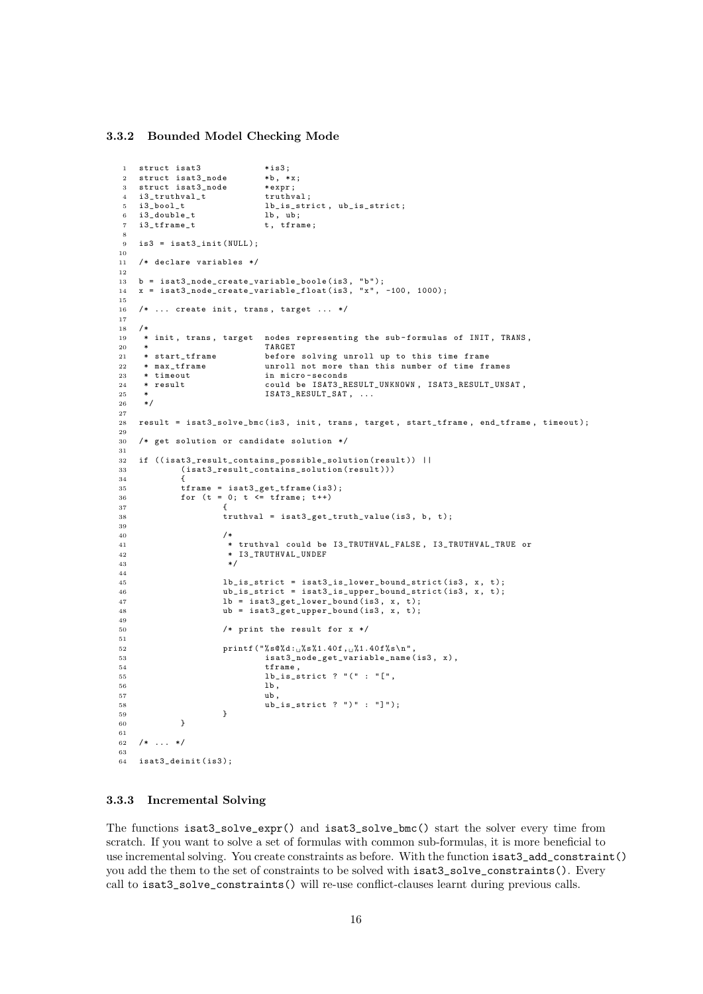## 3.3.2 Bounded Model Checking Mode

```
1 struct isat3 *is3;<br>2 struct isat3 node *b. *x:
2 struct isat3_node *b, *x<br>3 struct isat3 node *expr:
   struct isat3 node
4 i3_truthval_t truthval;<br>5 i3 bool t 1b is str
5 i3_bool_t lb_is_strict, ub_is_strict;<br>6 i3_double_t lb, ub;
   i3_double_t<br>i3_tframe_t lb, ub;<br>i3_tframe_t t, tframe;
   i3_tframe_t
 8
9 is3 = isat3 init ( NULL ):
10
11 /* declare variables */
12
13 b = isat3_node_create_variable_boole(is3, "b");<br>14 x = isat3_node_create_variable_float(is3, "x", -100, 1000);
15
16 /* ... create init, trans, target ... */
17
\begin{array}{cc} 18 & /* \\ 19 & * \end{array}<sup>19</sup> * init, trans, target nodes representing the sub-formulas of INIT, TRANS,<br><sup>20</sup> *20 * TARGET<br>21 * start tframe before
21 * start_tframe before solving unroll up to this time frame
     * max_tframe unroll not more than this number of time frames<br>* timeout in micro-seconds
23 * timeout in micro-seconds<br>24 * result could be ISAT3_R
24 * result could be ISAT3_RESULT_UNKNOWN , ISAT3_RESULT_UNSAT ,
                                ISAT3_RESULT_SAT, ...
26 */
2728 result = isat3_solve_bmc ( is3 , init , trans , target , start_tframe , end_tframe , timeout );
29
30 /* get solution or candidate solution */
31
32 if ((isat3\_result\_contains\_possible\_solution (result)) ||<br>33 (isat3 result contains solution (result)))
             (isat3\_result\_contains\_solution\ (result)))34 {
35 tframe = isat3_get_tframe ( is3 );
36 for (t = 0; t <= tframe ; t ++)
37 \qquad \qquad38 truthval = isat3_get_truth_value(is3, b, t);
39
40 /*
41 * truthval could be I3_TRUTHVAL_FALSE , I3_TRUTHVAL_TRUE or
42 * I3_TRUTHVAL_UNDEF<br>43 */
43 *44
45 lb_is_strict = isat3_is_lower_bound_strict ( is3 , x , t );
46 ub_is_strict = isat3_is_upper_bound_strict ( is3 , x , t );
47 lb = isat3_get_lower_bound (is3, x, t);
48 ub = isat3_get_upper_bound (is3, x, t);
49
50 /* print the result for x */
51
52 printf ("%s@%d:~f_0$s%1.40f,~f1.40f%s\n",
53 isat3_node_get_variable_name (is3, x),
54 tframe,<br>55 lb_is_s
                                1b_is_strict ? "(" : "[",
56 lb, 1b, 1b, 1b, 1b, 1b, 1b, 1b, 1b, 1b, 1b, 1c57 ub,
58 <br>
\begin{array}{ccc} \text{ub}^{-} & \text{is} \text{strict} & ? \text{''} : \text{''} \text{''} \\ 59 & & \end{array}59 }
60 }
61
62 /* ... */
63
64 isat3_deinit ( is3 );
```
#### 3.3.3 Incremental Solving

The functions isat3\_solve\_expr() and isat3\_solve\_bmc() start the solver every time from scratch. If you want to solve a set of formulas with common sub-formulas, it is more beneficial to use incremental solving. You create constraints as before. With the function isat3\_add\_constraint() you add the them to the set of constraints to be solved with isat3\_solve\_constraints(). Every call to isat3\_solve\_constraints() will re-use conflict-clauses learnt during previous calls.